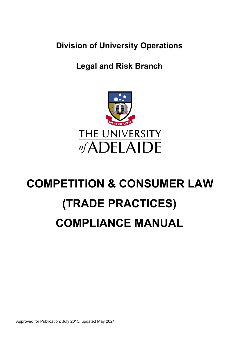**Division of University Operations** 

## **Legal and Risk Branch**



# **COMPETITION & CONSUMER LAW (TRADE PRACTICES) COMPLIANCE MANUAL**

Approved for Publication: July 2015; updated May 2021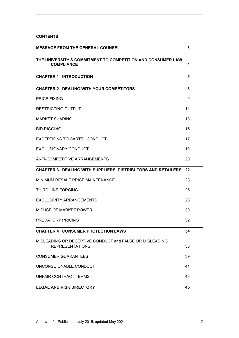## **CONTENTS**

| <b>MESSAGE FROM THE GENERAL COUNSEL</b>                                           | 3  |
|-----------------------------------------------------------------------------------|----|
| THE UNIVERSITY'S COMMITMENT TO COMPETITION AND CONSUMER LAW<br><b>COMPLIANCE</b>  | 4  |
| <b>CHAPTER 1 INTRODUCTION</b>                                                     | 5  |
| <b>CHAPTER 2 DEALING WITH YOUR COMPETITORS</b>                                    | 8  |
| <b>PRICE FIXING</b>                                                               | 9  |
| <b>RESTRICTING OUTPUT</b>                                                         | 11 |
| <b>MARKET SHARING</b>                                                             | 13 |
| <b>BID RIGGING</b>                                                                | 15 |
| <b>EXCEPTIONS TO CARTEL CONDUCT</b>                                               | 17 |
| <b>EXCLUSIONARY CONDUCT</b>                                                       | 19 |
| ANTI-COMPETITIVE ARRANGEMENTS                                                     | 20 |
| <b>CHAPTER 3 DEALING WITH SUPPLIERS, DISTRIBUTORS AND RETAILERS 22</b>            |    |
| MINIMUM RESALE PRICE MAINTENANCE                                                  | 23 |
| <b>THIRD LINE FORCING</b>                                                         | 25 |
| <b>EXCLUSIVITY ARRANGEMENTS</b>                                                   | 28 |
| MISUSE OF MARKET POWER                                                            | 30 |
| PREDATORY PRICING                                                                 | 32 |
| <b>CHAPTER 4 CONSUMER PROTECTION LAWS</b>                                         | 34 |
| MISLEADING OR DECEPTIVE CONDUCT and FALSE OR MISLEADING<br><b>REPRESENTATIONS</b> | 36 |
| <b>CONSUMER GUARANTEES</b>                                                        | 39 |
| UNCONSCIONABLE CONDUCT                                                            | 41 |
| UNFAIR CONTRACT TERMS                                                             | 43 |
| <b>LEGAL AND RISK DIRECTORY</b>                                                   | 45 |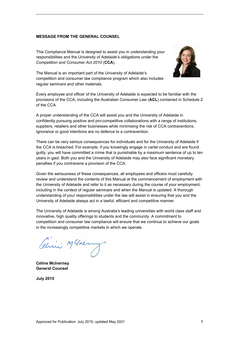## <span id="page-2-0"></span>**MESSAGE FROM THE GENERAL COUNSEL**

This Compliance Manual is designed to assist you in understanding your responsibilities and the University of Adelaide's obligations under the *Competition and Consumer Act 2010* (**CCA**).



The Manual is an important part of the University of Adelaide's competition and consumer law compliance program which also includes regular seminars and other materials.

Every employee and officer of the University of Adelaide is expected to be familiar with the provisions of the CCA, including the Australian Consumer Law (**ACL**) contained in Schedule 2 of the CCA.

A proper understanding of the CCA will assist you and the University of Adelaide in confidently pursuing positive and pro-competitive collaborations with a range of institutions, suppliers, retailers and other businesses while minimising the risk of CCA contraventions. Ignorance or good intentions are no defence to a contravention.

There can be very serious consequences for individuals and for the University of Adelaide if the CCA is breached. For example, if you knowingly engage in cartel conduct and are found guilty, you will have committed a crime that is punishable by a maximum sentence of up to ten years in gaol. Both you and the University of Adelaide may also face significant monetary penalties if you contravene a provision of the CCA.

Given the seriousness of these consequences, all employees and officers must carefully review and understand the contents of this Manual at the commencement of employment with the University of Adelaide and refer to it as necessary during the course of your employment, including in the context of regular seminars and when the Manual is updated. A thorough understanding of your responsibilities under the law will assist in ensuring that you and the University of Adelaide always act in a lawful, efficient and competitive manner.

The University of Adelaide is among Australia's leading universities with world class staff and innovative, high quality offerings to students and the community. A commitment to competition and consumer law compliance will ensure that we continue to achieve our goals in the increasingly competitive markets in which we operate.

Chris Mchang

**Céline McInerney General Counsel** 

**July 2015**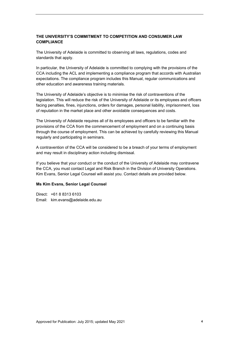## <span id="page-3-0"></span>**THE UNIVERSITY'S COMMITMENT TO COMPETITION AND CONSUMER LAW COMPLIANCE**

The University of Adelaide is committed to observing all laws, regulations, codes and standards that apply.

In particular, the University of Adelaide is committed to complying with the provisions of the CCA including the ACL and implementing a compliance program that accords with Australian expectations. The compliance program includes this Manual, regular communications and other education and awareness training materials.

The University of Adelaide's objective is to minimise the risk of contraventions of the legislation. This will reduce the risk of the University of Adelaide or its employees and officers facing penalties, fines, injunctions, orders for damages, personal liability, imprisonment, loss of reputation in the market place and other avoidable consequences and costs.

The University of Adelaide requires all of its employees and officers to be familiar with the provisions of the CCA from the commencement of employment and on a continuing basis through the course of employment. This can be achieved by carefully reviewing this Manual regularly and participating in seminars.

A contravention of the CCA will be considered to be a breach of your terms of employment and may result in disciplinary action including dismissal.

If you believe that your conduct or the conduct of the University of Adelaide may contravene the CCA, you must contact Legal and Risk Branch in the Division of University Operations. Kim Evans, Senior Legal Counsel will assist you. Contact details are provided below.

#### **Ms Kim Evans, Senior Legal Counsel**

Direct: +61 8 8313 6103 Email: kim.evans@adelaide.edu.au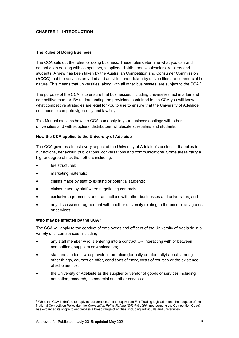## <span id="page-4-0"></span>**CHAPTER 1 INTRODUCTION**

#### **The Rules of Doing Business**

The CCA sets out the rules for doing business. These rules determine what you can and cannot do in dealing with competitors, suppliers, distributors, wholesalers, retailers and students. A view has been taken by the Australian Competition and Consumer Commission (**ACCC**) that the services provided and activities undertaken by universities are commercial in nature. This means that universities, along with all other businesses, are subject to the CCA.<sup>1</sup>

The purpose of the CCA is to ensure that businesses, including universities, act in a fair and competitive manner. By understanding the provisions contained in the CCA you will know what competitive strategies are legal for you to use to ensure that the University of Adelaide continues to compete vigorously and lawfully.

This Manual explains how the CCA can apply to your business dealings with other universities and with suppliers, distributors, wholesalers, retailers and students.

#### **How the CCA applies to the University of Adelaide**

The CCA governs almost every aspect of the University of Adelaide's business. It applies to our actions, behaviour, publications, conversations and communications. Some areas carry a higher degree of risk than others including:

fee structures;

1

- marketing materials;
- claims made by staff to existing or potential students;
- claims made by staff when negotiating contracts;
- exclusive agreements and transactions with other businesses and universities; and
- any discussion or agreement with another university relating to the price of any goods or services.

#### **Who may be affected by the CCA?**

The CCA will apply to the conduct of employees and officers of the University of Adelaide in a variety of circumstances, including:

- any staff member who is entering into a contract OR interacting with or between competitors, suppliers or wholesalers;
- staff and students who provide information (formally or informally) about, among other things, courses on offer, conditions of entry, costs of courses or the existence of scholarships;
- the University of Adelaide as the supplier or vendor of goods or services including education, research, commercial and other services;

<sup>&</sup>lt;sup>1</sup> While the CCA is drafted to apply to "corporations", state equivalent Fair Trading legislation and the adoption of the National Competition Policy (i.e. the *Competition Policy Reform (SA) Act 1996,* incorporating the Competition Code) has expanded its scope to encompass a broad range of entities, including individuals and universities.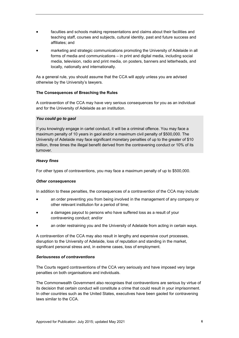- faculties and schools making representations and claims about their facilities and teaching staff, courses and subjects, cultural identity, past and future success and affiliates; and
- marketing and strategic communications promoting the University of Adelaide in all forms of media and communications – in print and digital media, including social media, television, radio and print media, on posters, banners and letterheads, and locally, nationally and internationally.

As a general rule, you should assume that the CCA will apply unless you are advised otherwise by the University's lawyers.

## **The Consequences of Breaching the Rules**

A contravention of the CCA may have very serious consequences for you as an individual and for the University of Adelaide as an institution.

## *You could go to gaol*

If you knowingly engage in cartel conduct, it will be a criminal offence. You may face a maximum penalty of 10 years in gaol and/or a maximum civil penalty of \$500,000. The University of Adelaide may face significant monetary penalties of up to the greater of \$10 million, three times the illegal benefit derived from the contravening conduct or 10% of its turnover.

## *Heavy fines*

For other types of contraventions, you may face a maximum penalty of up to \$500,000.

## *Other consequences*

In addition to these penalties, the consequences of a contravention of the CCA may include:

- an order preventing you from being involved in the management of any company or other relevant institution for a period of time;
- a damages payout to persons who have suffered loss as a result of your contravening conduct; and/or
- an order restraining you and the University of Adelaide from acting in certain ways.

A contravention of the CCA may also result in lengthy and expensive court processes, disruption to the University of Adelaide, loss of reputation and standing in the market, significant personal stress and, in extreme cases, loss of employment.

## *Seriousness of contraventions*

The Courts regard contraventions of the CCA very seriously and have imposed very large penalties on both organisations and individuals.

The Commonwealth Government also recognises that contraventions are serious by virtue of its decision that certain conduct will constitute a crime that could result in your imprisonment. In other countries such as the United States, executives have been gaoled for contravening laws similar to the CCA.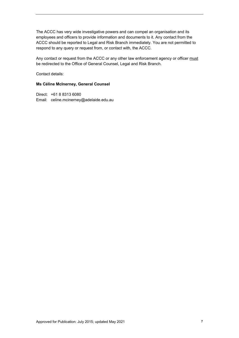The ACCC has very wide investigative powers and can compel an organisation and its employees and officers to provide information and documents to it. Any contact from the ACCC should be reported to Legal and Risk Branch immediately. You are not permitted to respond to any query or request from, or contact with, the ACCC.

Any contact or request from the ACCC or any other law enforcement agency or officer must be redirected to the Office of General Counsel, Legal and Risk Branch.

Contact details:

#### **Ms Céline McInerney, General Counsel**

Direct: +61 8 8313 6080 Email: celine.mcinerney@adelaide.edu.au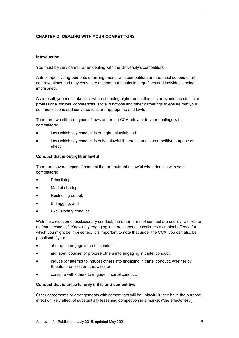## <span id="page-7-0"></span>**CHAPTER 2 DEALING WITH YOUR COMPETITORS**

## **Introduction**

You must be very careful when dealing with the University's competitors.

Anti-competitive agreements or arrangements with competitors are the most serious of all contraventions and may constitute a crime that results in large fines and individuals being imprisoned.

As a result, you must take care when attending higher education sector events, academic or professional forums, conferences, social functions and other gatherings to ensure that your communications and conversations are appropriate and lawful.

There are two different types of laws under the CCA relevant to your dealings with competitors:

- laws which say conduct is outright unlawful; and
- laws which say conduct is only unlawful if there is an anti-competitive purpose or effect.

#### **Conduct that is outright unlawful**

There are several types of conduct that are outright unlawful when dealing with your competitors:

- Price fixing;
- Market sharing;
- Restricting output;
- Bid rigging; and
- Exclusionary conduct.

With the exception of exclusionary conduct, the other forms of conduct are usually referred to as "cartel conduct". Knowingly engaging in cartel conduct constitutes a criminal offence for which you might be imprisoned. It is important to note that under the CCA, you can also be penalised if you:

- attempt to engage in cartel conduct;
- aid, abet, counsel or procure others into engaging in cartel conduct;
- induce (or attempt to induce) others into engaging in cartel conduct, whether by threats, promises or otherwise; or
- conspire with others to engage in cartel conduct.

#### **Conduct that is unlawful only if it is anti-competitive**

Other agreements or arrangements with competitors will be unlawful if they have the purpose, effect or likely effect of substantially lessening competition in a market ("the effects test").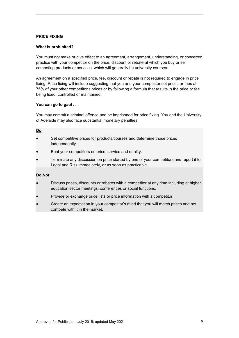## <span id="page-8-0"></span>**PRICE FIXING**

#### **What is prohibited?**

You must not make or give effect to an agreement, arrangement, understanding, or concerted practice with your competitor on the price, discount or rebate at which you buy or sell competing products or services, which will generally be university courses.

An agreement on a specified price, fee, discount or rebate is not required to engage in price fixing. Price fixing will include suggesting that you and your competitor set prices or fees at 75% of your other competitor's prices or by following a formula that results in the price or fee being fixed, controlled or maintained.

## **You can go to gaol . . .**

You may commit a criminal offence and be imprisoned for price fixing. You and the University of Adelaide may also face substantial monetary penalties.

#### **Do**

- Set competitive prices for products/courses and determine those prices independently.
- Beat your competitors on price, service and quality.
- Terminate any discussion on price started by one of your competitors and report it to Legal and Risk immediately, or as soon as practicable.

## **Do Not**

- Discuss prices, discounts or rebates with a competitor at any time including at higher education sector meetings, conferences or social functions.
- Provide or exchange price lists or price information with a competitor.
- Create an expectation in your competitor's mind that you will match prices and not compete with it in the market.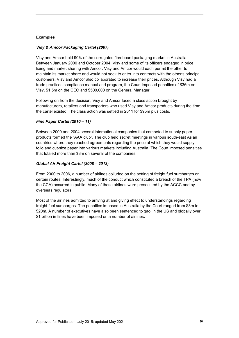## **Examples**

## *Visy & Amcor Packaging Cartel (2007)*

Visy and Amcor held 90% of the corrugated fibreboard packaging market in Australia. Between January 2000 and October 2004, Visy and some of its officers engaged in price fixing and market sharing with Amcor. Visy and Amcor would each permit the other to maintain its market share and would not seek to enter into contracts with the other's principal customers. Visy and Amcor also collaborated to increase their prices. Although Visy had a trade practices compliance manual and program, the Court imposed penalties of \$36m on Visy, \$1.5m on the CEO and \$500,000 on the General Manager.

Following on from the decision, Visy and Amcor faced a class action brought by manufacturers, retailers and transporters who used Visy and Amcor products during the time the cartel existed. The class action was settled in 2011 for \$95m plus costs.

## *Fine Paper Cartel (2010 – 11)*

Between 2000 and 2004 several international companies that competed to supply paper products formed the "AAA club". The club held secret meetings in various south-east Asian countries where they reached agreements regarding the price at which they would supply folio and cut-size paper into various markets including Australia. The Court imposed penalties that totaled more than \$8m on several of the companies.

## *Global Air Freight Cartel (2008 – 2012)*

From 2000 to 2006, a number of airlines colluded on the setting of freight fuel surcharges on certain routes. Interestingly, much of the conduct which constituted a breach of the TPA (now the CCA) occurred in public. Many of these airlines were prosecuted by the ACCC and by overseas regulators.

Most of the airlines admitted to arriving at and giving effect to understandings regarding freight fuel surcharges. The penalties imposed in Australia by the Court ranged from \$3m to \$20m. A number of executives have also been sentenced to gaol in the US and globally over \$1 billion in fines have been imposed on a number of airlines**.**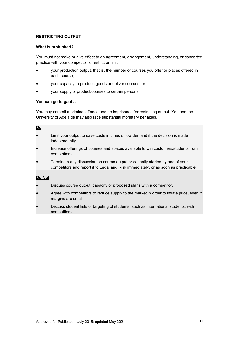## <span id="page-10-0"></span>**RESTRICTING OUTPUT**

#### **What is prohibited?**

You must not make or give effect to an agreement, arrangement, understanding, or concerted practice with your competitor to restrict or limit:

- your production output, that is, the number of courses you offer or places offered in each course;
- your capacity to produce goods or deliver courses; or
- your supply of product/courses to certain persons.

## **You can go to gaol . . .**

You may commit a criminal offence and be imprisoned for restricting output. You and the University of Adelaide may also face substantial monetary penalties.

#### **Do**

- Limit your output to save costs in times of low demand if the decision is made independently.
- Increase offerings of courses and spaces available to win customers/students from competitors.
- Terminate any discussion on course output or capacity started by one of your competitors and report it to Legal and Risk immediately, or as soon as practicable.

## **Do Not**

- Discuss course output, capacity or proposed plans with a competitor.
- Agree with competitors to reduce supply to the market in order to inflate price, even if margins are small.
- Discuss student lists or targeting of students, such as international students, with competitors.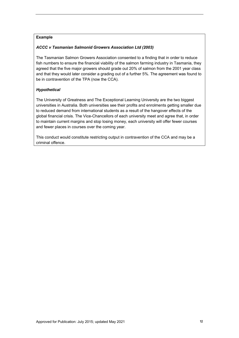## **Example**

## *ACCC v Tasmanian Salmonid Growers Association Ltd (2003)*

The Tasmanian Salmon Growers Association consented to a finding that in order to reduce fish numbers to ensure the financial viability of the salmon farming industry in Tasmania, they agreed that the five major growers should grade out 20% of salmon from the 2001 year class and that they would later consider a grading out of a further 5%. The agreement was found to be in contravention of the TPA (now the CCA).

## *Hypothetical*

The University of Greatness and The Exceptional Learning University are the two biggest universities in Australia. Both universities see their profits and enrolments getting smaller due to reduced demand from international students as a result of the hangover effects of the global financial crisis. The Vice-Chancellors of each university meet and agree that, in order to maintain current margins and stop losing money, each university will offer fewer courses and fewer places in courses over the coming year.

This conduct would constitute restricting output in contravention of the CCA and may be a criminal offence.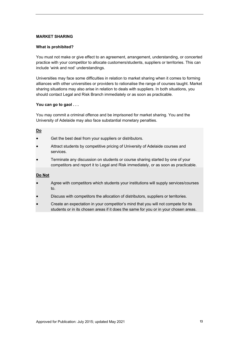## <span id="page-12-0"></span>**MARKET SHARING**

#### **What is prohibited?**

You must not make or give effect to an agreement, arrangement, understanding, or concerted practice with your competitor to allocate customers/students, suppliers or territories. This can include 'wink and nod' understandings.

Universities may face some difficulties in relation to market sharing when it comes to forming alliances with other universities or providers to rationalise the range of courses taught. Market sharing situations may also arise in relation to deals with suppliers. In both situations, you should contact Legal and Risk Branch immediately or as soon as practicable.

## **You can go to gaol . . .**

You may commit a criminal offence and be imprisoned for market sharing. You and the University of Adelaide may also face substantial monetary penalties.

#### **Do**

- Get the best deal from your suppliers or distributors.
- Attract students by competitive pricing of University of Adelaide courses and services.
- Terminate any discussion on students or course sharing started by one of your competitors and report it to Legal and Risk immediately, or as soon as practicable.

## **Do Not**

- Agree with competitors which students your institutions will supply services/courses to.
- Discuss with competitors the allocation of distributors, suppliers or territories.
- Create an expectation in your competitor's mind that you will not compete for its students or in its chosen areas if it does the same for you or in your chosen areas.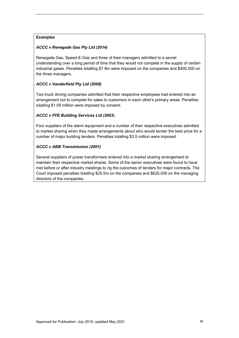## **Examples**

## *ACCC v Renegade Gas Pty Ltd (2014)*

Renegade Gas, Speed-E-Gas and three of their managers admitted to a secret understanding over a long period of time that they would not compete in the supply of certain industrial gases. Penalties totalling \$7.9m were imposed on the companies and \$400,000 on the three managers.

## *ACCC v Vanderfield Pty Ltd (2009)*

Two truck driving companies admitted that their respective employees had entered into an arrangement not to compete for sales to customers in each other's primary areas. Penalties totalling \$1.09 million were imposed by consent.

## *ACCC v FFE Building Services Ltd (2003*)

Four suppliers of fire alarm equipment and a number of their respective executives admitted to market sharing when they made arrangements about who would tender the best price for a number of major building tenders. Penalties totalling \$3.5 million were imposed.

## *ACCC v ABB Transmission (2001)*

Several suppliers of power transformers entered into a market sharing arrangement to maintain their respective market shares. Some of the senior executives were found to have met before or after industry meetings to rig the outcomes of tenders for major contracts. The Court imposed penalties totalling \$25.5m on the companies and \$625,000 on the managing directors of the companies.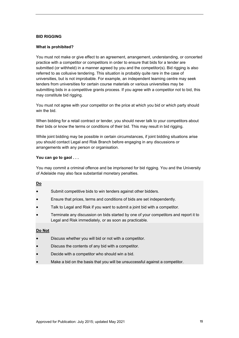## <span id="page-14-0"></span>**BID RIGGING**

#### **What is prohibited?**

You must not make or give effect to an agreement, arrangement, understanding, or concerted practice with a competitor or competitors in order to ensure that bids for a tender are submitted (or withheld) in a manner agreed by you and the competitor(s). Bid rigging is also referred to as collusive tendering. This situation is probably quite rare in the case of universities, but is not improbable. For example, an independent learning centre may seek tenders from universities for certain course materials or various universities may be submitting bids in a competitive grants process. If you agree with a competitor not to bid, this may constitute bid rigging.

You must not agree with your competitor on the price at which you bid or which party should win the bid.

When bidding for a retail contract or tender, you should never talk to your competitors about their bids or know the terms or conditions of their bid. This may result in bid rigging.

While joint bidding may be possible in certain circumstances, if joint bidding situations arise you should contact Legal and Risk Branch before engaging in any discussions or arrangements with any person or organisation.

#### **You can go to gaol . . .**

You may commit a criminal offence and be imprisoned for bid rigging. You and the University of Adelaide may also face substantial monetary penalties.

#### **Do**

- Submit competitive bids to win tenders against other bidders.
- Ensure that prices, terms and conditions of bids are set independently.
- Talk to Legal and Risk if you want to submit a joint bid with a competitor.
- Terminate any discussion on bids started by one of your competitors and report it to Legal and Risk immediately, or as soon as practicable.

#### **Do Not**

- Discuss whether you will bid or not with a competitor.
- Discuss the contents of any bid with a competitor.
- Decide with a competitor who should win a bid.
- Make a bid on the basis that you will be unsuccessful against a competitor.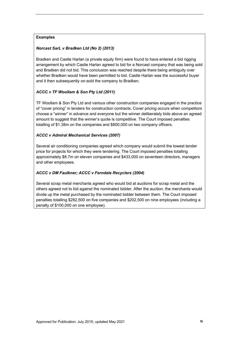## **Examples**

## *Norcast SarL v Bradken Ltd (No 2) (2013)*

Bradken and Castle Harlan (a private equity firm) were found to have entered a bid rigging arrangement by which Castle Harlan agreed to bid for a Norcast company that was being sold and Bradken did not bid. This conclusion was reached despite there being ambiguity over whether Bradken would have been permitted to bid. Castle Harlan was the successful buyer and it then subsequently on-sold the company to Bradken.

## *ACCC v TF Woollam & Son Pty Ltd (2011)*

TF Woollam & Son Pty Ltd and various other construction companies engaged in the practice of "cover pricing" in tenders for construction contracts. Cover pricing occurs when competitors choose a "winner" in advance and everyone but the winner deliberately bids above an agreed amount to suggest that the winner's quote is competitive. The Court imposed penalties totalling of \$1.38m on the companies and \$800,000 on two company officers.

## *ACCC v Admiral Mechanical Services (2007)*

Several air conditioning companies agreed which company would submit the lowest tender price for projects for which they were tendering. The Court imposed penalties totalling approximately \$8.7m on eleven companies and \$433,000 on seventeen directors, managers and other employees.

## *ACCC v DM Faulkner; ACCC v Ferndale Recyclers (2004)*

Several scrap metal merchants agreed who would bid at auctions for scrap metal and the others agreed not to bid against the nominated bidder. After the auction, the merchants would divide up the metal purchased by the nominated bidder between them. The Court imposed penalties totalling \$282,500 on five companies and \$202,500 on nine employees (including a penalty of \$100,000 on one employee).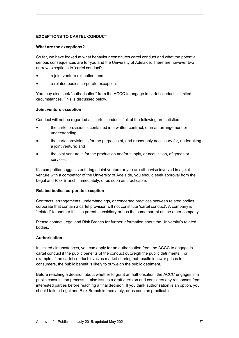## <span id="page-16-0"></span>**EXCEPTIONS TO CARTEL CONDUCT**

#### **What are the exceptions?**

So far, we have looked at what behaviour constitutes cartel conduct and what the potential serious consequences are for you and the University of Adelaide. There are however two narrow exceptions to 'cartel conduct':

- a joint venture exception; and
- a related bodies corporate exception.

You may also seek "authorisation" from the ACCC to engage in cartel conduct in limited circumstances. This is discussed below.

#### **Joint venture exception**

Conduct will not be regarded as 'cartel conduct' if all of the following are satisfied:

- the cartel provision is contained in a written contract, or in an arrangement or understanding
- the cartel provision is for the purposes of, and reasonably necessary for, undertaking a joint venture; and
- the joint venture is for the production and/or supply, or acquisition, of goods or services.

If a competitor suggests entering a joint venture or you are otherwise involved in a joint venture with a competitor of the University of Adelaide, you should seek approval from the Legal and Risk Branch immediately, or as soon as practicable.

#### **Related bodies corporate exception**

Contracts, arrangements, understandings, or concerted practices between related bodies corporate that contain a cartel provision will not constitute 'cartel conduct'. A company is "related" to another if it is a parent, subsidiary or has the same parent as the other company.

Please contact Legal and Risk Branch for further information about the University's related bodies.

## **Authorisation**

In limited circumstances, you can apply for an authorisation from the ACCC to engage in cartel conduct if the public benefits of the conduct outweigh the public detriments. For example, if the cartel conduct involves market sharing but results in lower prices for consumers, the public benefit is likely to outweigh the public detriment.

Before reaching a decision about whether to grant an authorisation, the ACCC engages in a public consultation process. It also issues a draft decision and considers any responses from interested parties before reaching a final decision. If you think authorisation is an option, you should talk to Legal and Risk Branch immediately, or as soon as practicable.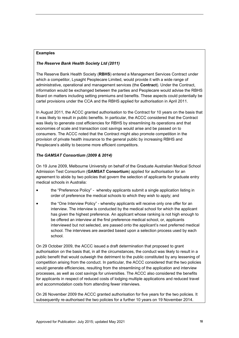## **Examples**

## *The Reserve Bank Health Society Ltd (2011)*

The Reserve Bank Health Society (**RBHS**) entered a Management Services Contract under which a competitor, Lysaght Peoplecare Limited, would provide it with a wide range of administrative, operational and management services (the **Contract**). Under the Contract, information would be exchanged between the parties and Peoplecare would advise the RBHS Board on matters including setting premiums and benefits. These aspects could potentially be cartel provisions under the CCA and the RBHS applied for authorisation in April 2011.

In August 2011, the ACCC granted authorisation to the Contract for 10 years on the basis that it was likely to result in public benefits. In particular, the ACCC considered that the Contract was likely to generate cost efficiencies for RBHS by streamlining its operations and that economies of scale and transaction cost savings would arise and be passed on to consumers. The ACCC noted that the Contract might also promote competition in the provision of private health insurance to the general public by increasing RBHS and Peoplecare's ability to become more efficient competitors.

## *The GAMSAT Consortium (2009 & 2014)*

On 19 June 2009, Melbourne University on behalf of the Graduate Australian Medical School Admission Test Consortium (**GAMSAT Consortium**) applied for authorisation for an agreement to abide by two policies that govern the selection of applicants for graduate entry medical schools in Australia:

- the "Preference Policy" whereby applicants submit a single application listing in order of preference the medical schools to which they wish to apply; and
- the "One Interview Policy" whereby applicants will receive only one offer for an interview. The interview is conducted by the medical school for which the applicant has given the highest preference. An applicant whose ranking is not high enough to be offered an interview at the first preference medical school, or, applicants interviewed but not selected, are passed onto the applicant's next preferred medical school. The interviews are awarded based upon a selection process used by each school.

On 29 October 2009, the ACCC issued a draft determination that proposed to grant authorisation on the basis that, in all the circumstances, the conduct was likely to result in a public benefit that would outweigh the detriment to the public constituted by any lessening of competition arising from the conduct. In particular, the ACCC considered that the two policies would generate efficiencies, resulting from the streamlining of the application and interview processes, as well as cost savings for universities. The ACCC also considered the benefits for applicants in respect of reduced costs of lodging multiple applications and reduced travel and accommodation costs from attending fewer interviews.

On 26 November 2009 the ACCC granted authorisation for five years for the two policies. It subsequently re-authorised the two policies for a further 10 years on 19 November 2014.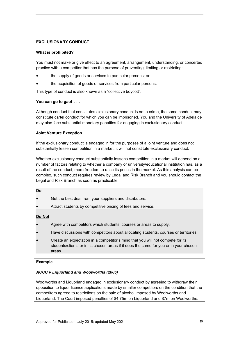## <span id="page-18-0"></span>**EXCLUSIONARY CONDUCT**

#### **What is prohibited?**

You must not make or give effect to an agreement, arrangement, understanding, or concerted practice with a competitor that has the purpose of preventing, limiting or restricting:

- the supply of goods or services to particular persons; or
- the acquisition of goods or services from particular persons.

This type of conduct is also known as a "collective boycott".

## **You can go to gaol . . .**

Although conduct that constitutes exclusionary conduct is not a crime, the same conduct may constitute cartel conduct for which you can be imprisoned. You and the University of Adelaide may also face substantial monetary penalties for engaging in exclusionary conduct.

## **Joint Venture Exception**

If the exclusionary conduct is engaged in for the purposes of a joint venture and does not substantially lessen competition in a market, it will not constitute exclusionary conduct.

Whether exclusionary conduct substantially lessens competition in a market will depend on a number of factors relating to whether a company or university/educational institution has, as a result of the conduct, more freedom to raise its prices in the market. As this analysis can be complex, such conduct requires review by Legal and Risk Branch and you should contact the Legal and Risk Branch as soon as practicable.

#### **Do**

- Get the best deal from your suppliers and distributors.
- Attract students by competitive pricing of fees and service.

## **Do Not**

- Agree with competitors which students, courses or areas to supply.
- Have discussions with competitors about allocating students, courses or territories.
- Create an expectation in a competitor's mind that you will not compete for its students/clients or in its chosen areas if it does the same for you or in your chosen areas.

#### **Example**

## *ACCC v Liquorland and Woolworths (2006)*

Woolworths and Liquorland engaged in exclusionary conduct by agreeing to withdraw their opposition to liquor licence applications made by smaller competitors on the condition that the competitors agreed to restrictions on the sale of alcohol imposed by Woolworths and Liquorland. The Court imposed penalties of \$4.75m on Liquorland and \$7m on Woolworths.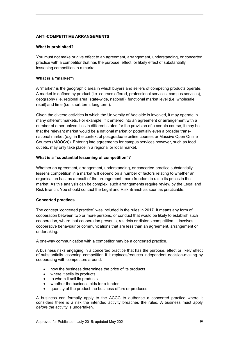## <span id="page-19-0"></span>**ANTI-COMPETITIVE ARRANGEMENTS**

#### **What is prohibited?**

You must not make or give effect to an agreement, arrangement, understanding, or concerted practice with a competitor that has the purpose, effect, or likely effect of substantially lessening competition in a market.

#### **What is a "market"?**

A "market" is the geographic area in which buyers and sellers of competing products operate. A market is defined by product (i.e. courses offered, professional services, campus services), geography (i.e. regional area, state-wide, national), functional market level (i.e. wholesale, retail) and time (i.e. short term, long term).

Given the diverse activities in which the University of Adelaide is involved, it may operate in many different markets. For example, if it entered into an agreement or arrangement with a number of other universities in different states for the provision of a certain course, it may be that the relevant market would be a national market or potentially even a broader transnational market (e.g. in the context of postgraduate online courses or Massive Open Online Courses (MOOCs)). Entering into agreements for campus services however, such as food outlets, may only take place in a regional or local market.

#### **What is a "substantial lessening of competition"?**

Whether an agreement, arrangement, understanding, or concerted practice substantially lessens competition in a market will depend on a number of factors relating to whether an organisation has, as a result of the arrangement, more freedom to raise its prices in the market. As this analysis can be complex, such arrangements require review by the Legal and Risk Branch. You should contact the Legal and Risk Branch as soon as practicable.

## **Concerted practices**

The concept 'concerted practice" was included in the rules in 2017. It means any form of cooperation between two or more persons, or conduct that would be likely to establish such cooperation, where that cooperation prevents, restricts or distorts competition. It involves cooperative behaviour or communications that are less than an agreement, arrangement or undertaking.

A one-way communication with a competitor may be a concerted practice.

A business risks engaging in a concerted practice that has the purpose, effect or likely effect of substantially lessening competition if it replaces/reduces independent decision-making by cooperating with competitors around:

- how the business determines the price of its products
- where it sells its products
- to whom it sell its products
- whether the business bids for a tender
- quantity of the product the business offers or produces

A business can formally apply to the ACCC to authorise a concerted practice where it considers there is a risk the intended activity breaches the rules. A business must apply *before* the activity is undertaken.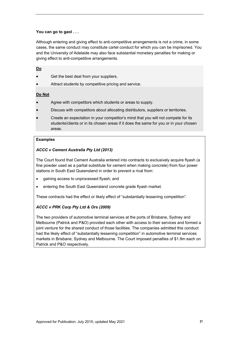## **You can go to gaol . . .**

Although entering and giving effect to anti-competitive arrangements is not a crime, in some cases, the same conduct may constitute cartel conduct for which you can be imprisoned. You and the University of Adelaide may also face substantial monetary penalties for making or giving effect to anti-competitive arrangements.

## **Do**

- Get the best deal from your suppliers.
- Attract students by competitive pricing and service.

## **Do Not**

- Agree with competitors which students or areas to supply.
- Discuss with competitors about allocating distributors, suppliers or territories.
- Create an expectation in your competitor's mind that you will not compete for its students/clients or in its chosen areas if it does the same for you or in your chosen areas.

## **Examples**

## *ACCC v Cement Australia Pty Ltd (2013)*

The Court found that Cement Australia entered into contracts to exclusively acquire flyash (a fine powder used as a partial substitute for cement when making concrete) from four power stations in South East Queensland in order to prevent a rival from:

- gaining access to unprocessed flyash; and
- **•** entering the South East Queensland concrete grade flyash market.

These contracts had the effect or likely effect of "substantially lessening competition".

## *ACCC v PRK Corp Pty Ltd & Ors (2009)*

The two providers of automotive terminal services at the ports of Brisbane, Sydney and Melbourne (Patrick and P&O) provided each other with access to their services and formed a joint venture for the shared conduct of those facilities. The companies admitted this conduct had the likely effect of "substantially lessening competition" in automotive terminal services markets in Brisbane, Sydney and Melbourne. The Court imposed penalties of \$1.9m each on Patrick and P&O respectively.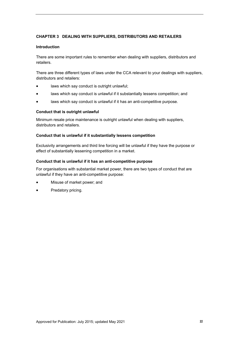## <span id="page-21-0"></span>**CHAPTER 3 DEALING WITH SUPPLIERS, DISTRIBUTORS AND RETAILERS**

#### **Introduction**

There are some important rules to remember when dealing with suppliers, distributors and retailers.

There are three different types of laws under the CCA relevant to your dealings with suppliers, distributors and retailers:

- laws which say conduct is outright unlawful:
- laws which say conduct is unlawful if it substantially lessens competition; and
- laws which say conduct is unlawful if it has an anti-competitive purpose.

#### **Conduct that is outright unlawful**

Minimum resale price maintenance is outright unlawful when dealing with suppliers, distributors and retailers.

#### **Conduct that is unlawful if it substantially lessens competition**

Exclusivity arrangements and third line forcing will be unlawful if they have the purpose or effect of substantially lessening competition in a market.

#### **Conduct that is unlawful if it has an anti-competitive purpose**

For organisations with substantial market power, there are two types of conduct that are unlawful if they have an anti-competitive purpose:

- Misuse of market power; and
- Predatory pricing.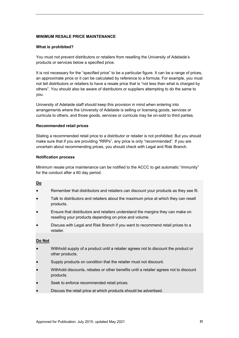#### <span id="page-22-0"></span>**MINIMUM RESALE PRICE MAINTENANCE**

#### **What is prohibited?**

You must not prevent distributors or retailers from reselling the University of Adelaide's products or services below a specified price.

It is not necessary for the "specified price" to be a particular figure. It can be a range of prices, an approximate price or it can be calculated by reference to a formula. For example, you must not tell distributors or retailers to have a resale price that is "not less than what is charged by others". You should also be aware of distributors or suppliers attempting to do the same to you.

University of Adelaide staff should keep this provision in mind when entering into arrangements where the University of Adelaide is selling or licensing goods, services or curricula to others, and those goods, services or curricula may be on-sold to third parties.

#### **Recommended retail prices**

Stating a recommended retail price to a distributor or retailer is not prohibited. But you should make sure that if you are providing "RRPs", any price is only "recommended". If you are uncertain about recommending prices, you should check with Legal and Risk Branch.

#### **Notification process**

Minimum resale price maintenance can be notified to the ACCC to get automatic "immunity" for the conduct after a 60 day period.

#### **Do**

- Remember that distributors and retailers can discount your products as they see fit.
- Talk to distributors and retailers about the maximum price at which they can resell products.
- Ensure that distributors and retailers understand the margins they can make on reselling your products depending on price and volume.
- Discuss with Legal and Risk Branch if you want to recommend retail prices to a retailer.

## **Do Not**

- Withhold supply of a product until a retailer agrees not to discount the product or other products.
- Supply products on condition that the retailer must not discount.
- Withhold discounts, rebates or other benefits until a retailer agrees not to discount products.
- Seek to enforce recommended retail prices.
- Discuss the retail price at which products should be advertised.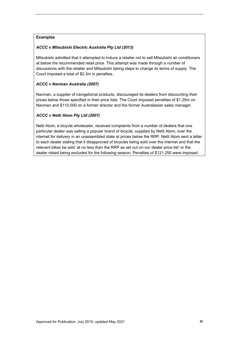## **Examples**

## *ACCC v Mitsubishi Electric Australia Pty Ltd (2013)*

Mitsubishi admitted that it attempted to induce a retailer not to sell Mitsubishi air conditioners at below the recommended retail price. This attempt was made through a number of discussions with the retailer and Mitsubishi taking steps to change its terms of supply. The Court imposed a total of \$2.3m in penalties.

## *ACCC v Navman Australia (2007)*

Navman, a supplier of navigational products, discouraged its dealers from discounting their prices below those specified in their price lists. The Court imposed penalties of \$1.25m on Navman and \$110,000 on a former director and the former Australasian sales manager.

## *ACCC v Netti Atom Pty Ltd (2007)*

Netti Atom, a bicycle wholesaler, received complaints from a number of dealers that one particular dealer was selling a popular brand of bicycle, supplied by Netti Atom, over the internet for delivery in an unassembled state at prices below the RRP. Netti Atom sent a letter to each dealer stating that it disapproved of bicycles being sold over the internet and that the relevant bikes be sold 'at no less than the RRP as set out on our dealer price list' or the dealer risked being excluded for the following season. Penalties of \$121,250 were imposed.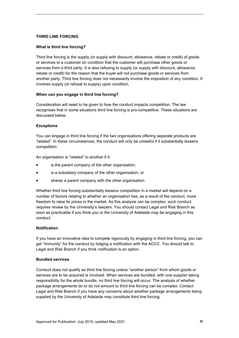## <span id="page-24-0"></span>**THIRD LINE FORCING**

## **What is third line forcing?**

Third line forcing is the supply (or supply with discount, allowance, rebate or credit) of goods or services to a customer on condition that the customer will purchase other goods or services from a third party. It is also refusing to supply (or supply with discount, allowance, rebate or credit) for the reason that the buyer will not purchase goods or services from another party. Third line forcing does not necessarily involve the imposition of any condition. It involves supply (or refusal to supply) upon condition.

## **When can you engage in third line forcing?**

Consideration will need to be given to how the conduct impacts competition. The law recognises that in some situations third line forcing is pro-competitive. These situations are discussed below.

## **Exceptions**

You can engage in third line forcing if the two organisations offering separate products are "related". In these circumstances, the conduct will only be unlawful if it substantially lessens competition.

An organisation is "related" to another if it:

- is the parent company of the other organisation;
- is a subsidiary company of the other organisation; or
- shares a parent company with the other organisation.

Whether third line forcing substantially lessens competition in a market will depend on a number of factors relating to whether an organisation has, as a result of the conduct, more freedom to raise its prices in the market. As this analysis can be complex, such conduct requires review by the University's lawyers. You should contact Legal and Risk Branch as soon as practicable if you think you or the University of Adelaide may be engaging in this conduct.

## **Notification**

If you have an innovative idea to compete vigorously by engaging in third line forcing, you can get "immunity" for the conduct by lodging a notification with the ACCC. You should talk to Legal and Risk Branch if you think notification is an option.

## **Bundled services**

Conduct does not qualify as third line forcing unless "another person" from whom goods or services are to be acquired is involved. When services are bundled, with one supplier taking responsibility for the whole bundle, no third line forcing will occur. The analysis of whether package arrangements do or do not amount to third line forcing can be complex. Contact Legal and Risk Branch if you have any concerns about whether package arrangements being supplied by the University of Adelaide may constitute third line forcing.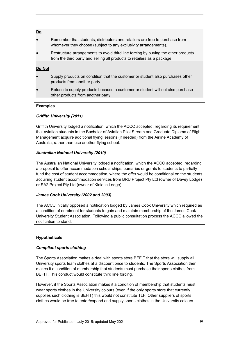## **Do**

- Remember that students, distributors and retailers are free to purchase from whomever they choose (subject to any exclusivity arrangements).
- Restructure arrangements to avoid third line forcing by buying the other products from the third party and selling all products to retailers as a package.

## **Do Not**

- Supply products on condition that the customer or student also purchases other products from another party.
- Refuse to supply products because a customer or student will not also purchase other products from another party.

## **Examples**

## *Griffith University (2011)*

Griffith University lodged a notification, which the ACCC accepted, regarding its requirement that aviation students in the Bachelor of Aviation Pilot Stream and Graduate Diploma of Flight Management acquire additional flying lessons (if needed) from the Airline Academy of Australia, rather than use another flying school.

## *Australian National University (2010)*

The Australian National University lodged a notification, which the ACCC accepted, regarding a proposal to offer accommodation scholarships, bursaries or grants to students to partially fund the cost of student accommodation, where the offer would be conditional on the students acquiring student accommodation services from BRU Project Pty Ltd (owner of Davey Lodge) or SA2 Project Pty Ltd (owner of Kinloch Lodge).

## *James Cook University (2002 and 2003)*

The ACCC initially opposed a notification lodged by James Cook University which required as a condition of enrolment for students to gain and maintain membership of the James Cook University Student Association. Following a public consultation process the ACCC allowed the notification to stand.

## **Hypotheticals**

## *Compliant sports clothing*

The Sports Association makes a deal with sports store BEFIT that the store will supply all University sports team clothes at a discount price to students. The Sports Association then makes it a condition of membership that students must purchase their sports clothes from BEFIT. This conduct would constitute third line forcing.

However, if the Sports Association makes it a condition of membership that students must wear sports clothes in the University colours (even if the only sports store that currently supplies such clothing is BEFIT) this would not constitute TLF. Other suppliers of sports clothes would be free to enter/expand and supply sports clothes in the University colours.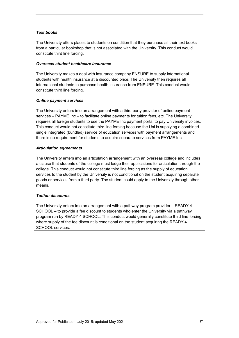## *Text books*

The University offers places to students on condition that they purchase all their text books from a particular bookshop that is not associated with the University. This conduct would constitute third line forcing.

#### *Overseas student healthcare insurance*

The University makes a deal with insurance company ENSURE to supply international students with health insurance at a discounted price. The University then requires all international students to purchase health insurance from ENSURE. This conduct would constitute third line forcing.

## *Online payment services*

The University enters into an arrangement with a third party provider of online payment services – PAYME Inc – to facilitate online payments for tuition fees, etc. The University requires all foreign students to use the PAYME Inc payment portal to pay University invoices. This conduct would not constitute third line forcing because the Uni is supplying a combined single integrated (bundled) service of education services with payment arrangements and there is no requirement for students to acquire separate services from PAYME Inc.

## *Articulation agreements*

The University enters into an articulation arrangement with an overseas college and includes a clause that students of the college must lodge their applications for articulation through the college. This conduct would not constitute third line forcing as the supply of education services to the student by the University is not conditional on the student acquiring separate goods or services from a third party. The student could apply to the University through other means.

## *Tuition discounts*

The University enters into an arrangement with a pathway program provider – READY 4 SCHOOL – to provide a fee discount to students who enter the University via a pathway program run by READY 4 SCHOOL. This conduct would generally constitute third line forcing where supply of the fee discount is conditional on the student acquiring the READY 4 SCHOOL services.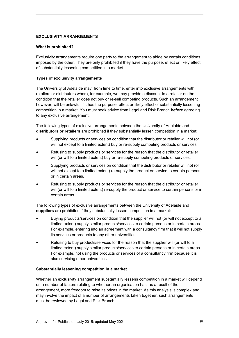## <span id="page-27-0"></span>**EXCLUSIVITY ARRANGEMENTS**

## **What is prohibited?**

Exclusivity arrangements require one party to the arrangement to abide by certain conditions imposed by the other. They are only prohibited if they have the purpose, effect or likely effect of substantially lessening competition in a market.

## **Types of exclusivity arrangements**

The University of Adelaide may, from time to time, enter into exclusive arrangements with retailers or distributors where, for example, we may provide a discount to a retailer on the condition that the retailer does not buy or re-sell competing products. Such an arrangement however, will be unlawful if it has the purpose, effect or likely effect of substantially lessening competition in a market. You must seek advice from Legal and Risk Branch **before** agreeing to any exclusive arrangement.

The following types of exclusive arrangements between the University of Adelaide and **distributors or retailers** are prohibited if they substantially lessen competition in a market:

- Supplying products or services on condition that the distributor or retailer will not (or will not except to a limited extent) buy or re-supply competing products or services.
- Refusing to supply products or services for the reason that the distributor or retailer will (or will to a limited extent) buy or re-supply competing products or services.
- Supplying products or services on condition that the distributor or retailer will not (or will not except to a limited extent) re-supply the product or service to certain persons or in certain areas.
- Refusing to supply products or services for the reason that the distributor or retailer will (or will to a limited extent) re-supply the product or service to certain persons or in certain areas.

The following types of exclusive arrangements between the University of Adelaide and **suppliers** are prohibited if they substantially lessen competition in a market:

- Buying products/services on condition that the supplier will not (or will not except to a limited extent) supply similar products/services to certain persons or in certain areas. For example, entering into an agreement with a consultancy firm that it will not supply its services or products to any other universities.
- Refusing to buy products/services for the reason that the supplier will (or will to a limited extent) supply similar products/services to certain persons or in certain areas. For example, not using the products or services of a consultancy firm because it is also servicing other universities.

## **Substantially lessening competition in a market**

Whether an exclusivity arrangement substantially lessens competition in a market will depend on a number of factors relating to whether an organisation has, as a result of the arrangement, more freedom to raise its prices in the market. As this analysis is complex and may involve the impact of a number of arrangements taken together, such arrangements must be reviewed by Legal and Risk Branch.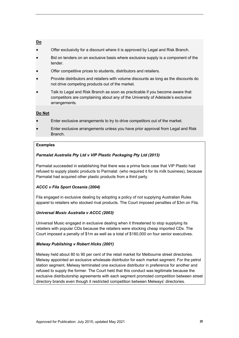## **Do**

- Offer exclusivity for a discount where it is approved by Legal and Risk Branch.
- Bid on tenders on an exclusive basis where exclusive supply is a component of the tender.
- Offer competitive prices to students, distributors and retailers.
- Provide distributors and retailers with volume discounts as long as the discounts do not drive competing products out of the market.
- Talk to Legal and Risk Branch as soon as practicable if you become aware that competitors are complaining about any of the University of Adelaide's exclusive arrangements.

## **Do Not**

- Enter exclusive arrangements to try to drive competitors out of the market.
- Enter exclusive arrangements unless you have prior approval from Legal and Risk Branch.

## **Examples**

## *Parmalat Australia Pty Ltd v VIP Plastic Packaging Pty Ltd (2013)*

Parmalat succeeded in establishing that there was a prima facie case that VIP Plastic had refused to supply plastic products to Parmalat (who required it for its milk business), because Parmalat had acquired other plastic products from a third party.

## *ACCC v Fila Sport Oceania (2004)*

Fila engaged in exclusive dealing by adopting a policy of not supplying Australian Rules apparel to retailers who stocked rival products. The Court imposed penalties of \$3m on Fila.

## *Universal Music Australia v ACCC (2003)*

Universal Music engaged in exclusive dealing when it threatened to stop supplying its retailers with popular CDs because the retailers were stocking cheap imported CDs. The Court imposed a penalty of \$1m as well as a total of \$180,000 on four senior executives.

## *Melway Publishing v Robert Hicks (2001)*

Melway held about 80 to 90 per cent of the retail market for Melbourne street directories. Melway appointed an exclusive wholesale distributor for each market segment. For the petrol station segment, Melway terminated one exclusive distributor in preference for another and refused to supply the former. The Court held that this conduct was legitimate because the exclusive distributorship agreements with each segment promoted competition between street directory brands even though it restricted competition between Melways' directories.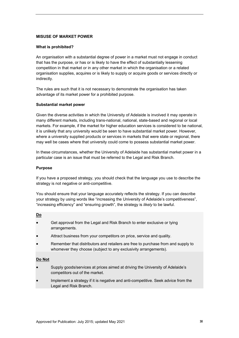## <span id="page-29-0"></span>**MISUSE OF MARKET POWER**

#### **What is prohibited?**

An organisation with a substantial degree of power in a market must not engage in conduct that has the purpose, or has or is likely to have the effect of substantially lessening competition in that market or in any other market in which the organisation or a related organisation supplies, acquires or is likely to supply or acquire goods or services directly or indirectly.

The rules are such that it is not necessary to demonstrate the organisation has taken advantage of its market power for a prohibited purpose.

## **Substantial market power**

Given the diverse activities in which the University of Adelaide is involved it may operate in many different markets, including trans-national, national, state-based and regional or local markets. For example, if the market for higher education services is considered to be national, it is unlikely that any university would be seen to have substantial market power. However, where a university supplied products or services in markets that were state or regional, there may well be cases where that university could come to possess substantial market power.

In these circumstances, whether the University of Adelaide has substantial market power in a particular case is an issue that must be referred to the Legal and Risk Branch.

#### **Purpose**

If you have a proposed strategy, you should check that the language you use to describe the strategy is not negative or anti-competitive.

You should ensure that your language accurately reflects the strategy. If you can describe your strategy by using words like "increasing the University of Adelaide's competitiveness", "increasing efficiency" and "ensuring growth", the strategy is *likely* to be lawful.

## **Do**

- Get approval from the Legal and Risk Branch to enter exclusive or tying arrangements.
- Attract business from your competitors on price, service and quality.
- Remember that distributors and retailers are free to purchase from and supply to whomever they choose (subject to any exclusivity arrangements).

## **Do Not**

- Supply goods/services at prices aimed at driving the University of Adelaide's competitors out of the market.
- Implement a strategy if it is negative and anti-competitive. Seek advice from the Legal and Risk Branch.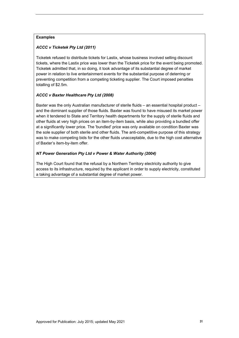## **Examples**

## *ACCC v Ticketek Pty Ltd (2011)*

Ticketek refused to distribute tickets for Lastix, whose business involved selling discount tickets, where the Lastix price was lower than the Ticketek price for the event being promoted. Ticketek admitted that, in so doing, it took advantage of its substantial degree of market power in relation to live entertainment events for the substantial purpose of deterring or preventing competition from a competing ticketing supplier. The Court imposed penalties totalling of \$2.5m.

## *ACCC v Baxter Healthcare Pty Ltd (2008)*

Baxter was the only Australian manufacturer of sterile fluids – an essential hospital product – and the dominant supplier of those fluids. Baxter was found to have misused its market power when it tendered to State and Territory health departments for the supply of sterile fluids and other fluids at very high prices on an item-by-item basis, while also providing a bundled offer at a significantly lower price. The 'bundled' price was only available on condition Baxter was the sole supplier of both sterile and other fluids. The anti-competitive purpose of this strategy was to make competing bids for the other fluids unacceptable, due to the high cost alternative of Baxter's item-by-item offer.

## *NT Power Generation Pty Ltd v Power & Water Authority (2004)*

The High Court found that the refusal by a Northern Territory electricity authority to give access to its infrastructure, required by the applicant in order to supply electricity, constituted a taking advantage of a substantial degree of market power.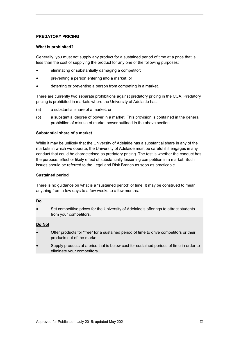## <span id="page-31-0"></span>**PREDATORY PRICING**

#### **What is prohibited?**

Generally, you must not supply any product for a sustained period of time at a price that is less than the cost of supplying the product for any one of the following purposes:

- eliminating or substantially damaging a competitor;
- preventing a person entering into a market; or
- deterring or preventing a person from competing in a market.

There are currently two separate prohibitions against predatory pricing in the CCA. Predatory pricing is prohibited in markets where the University of Adelaide has:

- (a) a substantial share of a market; or
- (b) a substantial degree of power in a market. This provision is contained in the general prohibition of misuse of market power outlined in the above section.

## **Substantial share of a market**

While it may be unlikely that the University of Adelaide has a substantial share in any of the markets in which we operate, the University of Adelaide must be careful if it engages in any conduct that could be characterised as predatory pricing. The test is whether the conduct has the purpose, effect or likely effect of substantially lessening competition in a market. Such issues should be referred to the Legal and Risk Branch as soon as practicable.

## **Sustained period**

There is no guidance on what is a "sustained period" of time. It may be construed to mean anything from a few days to a few weeks to a few months.

## **Do**

 Set competitive prices for the University of Adelaide's offerings to attract students from your competitors.

## **Do Not**

- Offer products for "free" for a sustained period of time to drive competitors or their products out of the market.
- Supply products at a price that is below cost for sustained periods of time in order to eliminate your competitors.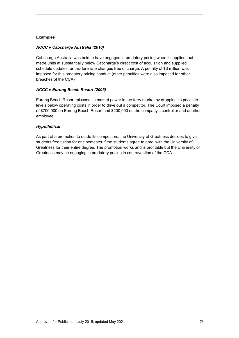## **Examples**

## *ACCC v Cabcharge Australia (2010)*

Cabcharge Australia was held to have engaged in predatory pricing when it supplied taxi metre units at substantially below Cabcharge's direct cost of acquisition and supplied schedule updates for taxi fare rate changes free of charge. A penalty of \$3 million was imposed for this predatory pricing conduct (other penalties were also imposed for other breaches of the CCA)

## *ACCC v Eurong Beach Resort (2005)*

Eurong Beach Resort misused its market power in the ferry market by dropping its prices to levels below operating costs in order to drive out a competitor. The Court imposed a penalty of \$700,000 on Eurong Beach Resort and \$200,000 on the company's controller and another employee.

## *Hypothetical*

As part of a promotion to outdo its competitors, the University of Greatness decides to give students free tuition for one semester if the students agree to enrol with the University of Greatness for their entire degree. The promotion works and is profitable but the University of Greatness may be engaging in predatory pricing in contravention of the CCA.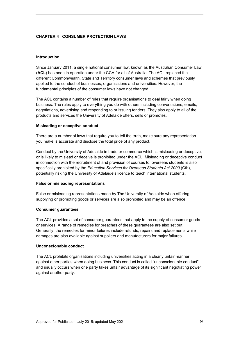## <span id="page-33-0"></span>**CHAPTER 4 CONSUMER PROTECTION LAWS**

#### **Introduction**

Since January 2011, a single national consumer law, known as the Australian Consumer Law (**ACL**) has been in operation under the CCA for all of Australia. The ACL replaced the different Commonwealth, State and Territory consumer laws and schemes that previously applied to the conduct of businesses, organisations and universities. However, the fundamental principles of the consumer laws have not changed.

The ACL contains a number of rules that require organisations to deal fairly when doing business. The rules apply to everything you do with others including conversations, emails, negotiations, advertising and responding to or issuing tenders. They also apply to all of the products and services the University of Adelaide offers, sells or promotes.

#### **Misleading or deceptive conduct**

There are a number of laws that require you to tell the truth, make sure any representation you make is accurate and disclose the total price of any product.

Conduct by the University of Adelaide in trade or commerce which is misleading or deceptive, or is likely to mislead or deceive is prohibited under the ACL. Misleading or deceptive conduct in connection with the recruitment of and provision of courses to, overseas students is also specifically prohibited by the *Education Services for Overseas Students Act 2000* (Cth), potentially risking the University of Adelaide's licence to teach international students.

#### **False or misleading representations**

False or misleading representations made by The University of Adelaide when offering, supplying or promoting goods or services are also prohibited and may be an offence.

#### **Consumer guarantees**

The ACL provides a set of consumer guarantees that apply to the supply of consumer goods or services. A range of remedies for breaches of these guarantees are also set out. Generally, the remedies for minor failures include refunds, repairs and replacements while damages are also available against suppliers and manufacturers for major failures.

## **Unconscionable conduct**

The ACL prohibits organisations including universities acting in a clearly unfair manner against other parties when doing business. This conduct is called "unconscionable conduct" and usually occurs when one party takes unfair advantage of its significant negotiating power against another party.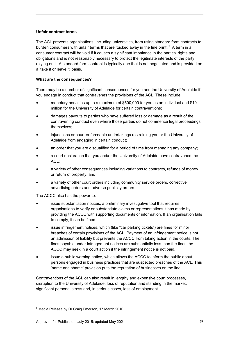## **Unfair contract terms**

The ACL prevents organisations, including universities, from using standard form contracts to burden consumers with unfair terms that are 'tucked away in the fine print'.<sup>2</sup> A term in a consumer contract will be void if it causes a significant imbalance in the parties' rights and obligations and is not reasonably necessary to protect the legitimate interests of the party relying on it. A standard form contract is typically one that is not negotiated and is provided on a 'take it or leave it' basis.

## **What are the consequences?**

There may be a number of significant consequences for you and the University of Adelaide if you engage in conduct that contravenes the provisions of the ACL. These include:

- monetary penalties up to a maximum of \$500,000 for you as an individual and \$10 million for the University of Adelaide for certain contraventions;
- damages payouts to parties who have suffered loss or damage as a result of the contravening conduct even where those parties do not commence legal proceedings themselves;
- injunctions or court-enforceable undertakings restraining you or the University of Adelaide from engaging in certain conduct;
- an order that you are disqualified for a period of time from managing any company;
- a court declaration that you and/or the University of Adelaide have contravened the ACL;
- a variety of other consequences including variations to contracts, refunds of money or return of property; and
- a variety of other court orders including community service orders, corrective advertising orders and adverse publicity orders.

The ACCC also has the power to:

- issue substantiation notices, a preliminary investigative tool that requires organisations to verify or substantiate claims or representations it has made by providing the ACCC with supporting documents or information. If an organisation fails to comply, it can be fined.
- issue infringement notices, which (like "car parking tickets") are fines for minor breaches of certain provisions of the ACL. Payment of an infringement notice is not an admission of liability but prevents the ACCC from taking action in the courts. The fines payable under infringement notices are substantially less than the fines the ACCC may seek in a court action if the infringement notice is not paid.
- issue a public warning notice, which allows the ACCC to inform the public about persons engaged in business practices that are suspected breaches of the ACL. This 'name and shame' provision puts the reputation of businesses on the line.

Contraventions of the ACL can also result in lengthy and expensive court processes, disruption to the University of Adelaide, loss of reputation and standing in the market, significant personal stress and, in serious cases, loss of employment.

<sup>1</sup> 2 Media Release by Dr Craig Emerson, 17 March 2010.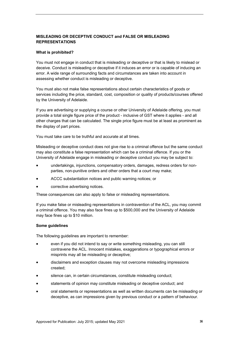## <span id="page-35-0"></span>**MISLEADING OR DECEPTIVE CONDUCT and FALSE OR MISLEADING REPRESENTATIONS**

#### **What is prohibited?**

You must not engage in conduct that is misleading or deceptive or that is likely to mislead or deceive. Conduct is misleading or deceptive if it induces an error or is capable of inducing an error. A wide range of surrounding facts and circumstances are taken into account in assessing whether conduct is misleading or deceptive.

You must also not make false representations about certain characteristics of goods or services including the price, standard, cost, composition or quality of products/courses offered by the University of Adelaide.

If you are advertising or supplying a course or other University of Adelaide offering, you must provide a total single figure price of the product - inclusive of GST where it applies - and all other charges that can be calculated. The single price figure must be at least as prominent as the display of part prices.

You must take care to be truthful and accurate at all times.

Misleading or deceptive conduct does not give rise to a criminal offence but the same conduct may also constitute a false representation which can be a criminal offence. If you or the University of Adelaide engage in misleading or deceptive conduct you may be subject to:

- undertakings, injunctions, compensatory orders, damages, redress orders for nonparties, non-punitive orders and other orders that a court may make;
- ACCC substantiation notices and public warning notices; or
- corrective advertising notices.

These consequences can also apply to false or misleading representations.

If you make false or misleading representations in contravention of the ACL, you may commit a criminal offence. You may also face fines up to \$500,000 and the University of Adelaide may face fines up to \$10 million.

#### **Some guidelines**

The following guidelines are important to remember:

- even if you did not intend to say or write something misleading, you can still contravene the ACL. Innocent mistakes, exaggerations or typographical errors or misprints may all be misleading or deceptive;
- disclaimers and exception clauses may not overcome misleading impressions created;
- silence can, in certain circumstances, constitute misleading conduct;
- statements of opinion may constitute misleading or deceptive conduct; and
- oral statements or representations as well as written documents can be misleading or deceptive, as can impressions given by previous conduct or a pattern of behaviour.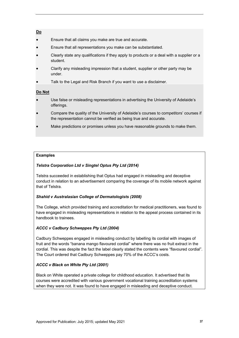## **Do**

- Ensure that all claims you make are true and accurate.
- Ensure that all representations you make can be substantiated.
- Clearly state any qualifications if they apply to products or a deal with a supplier or a student.
- Clarify any misleading impression that a student, supplier or other party may be under.
- Talk to the Legal and Risk Branch if you want to use a disclaimer.

## **Do Not**

- Use false or misleading representations in advertising the University of Adelaide's offerings.
- Compare the quality of the University of Adelaide's courses to competitors' courses if the representation cannot be verified as being true and accurate.
- Make predictions or promises unless you have reasonable grounds to make them.

## **Examples**

## *Telstra Corporation Ltd v Singtel Optus Pty Ltd (2014)*

Telstra succeeded in establishing that Optus had engaged in misleading and deceptive conduct in relation to an advertisement comparing the coverage of its mobile network against that of Telstra.

## *Shahid v Australasian College of Dermatologists (2008)*

The College, which provided training and accreditation for medical practitioners, was found to have engaged in misleading representations in relation to the appeal process contained in its handbook to trainees.

## *ACCC v Cadbury Schweppes Pty Ltd (2004)*

Cadbury Schweppes engaged in misleading conduct by labelling its cordial with images of fruit and the words "banana mango flavoured cordial" where there was no fruit extract in the cordial. This was despite the fact the label clearly stated the contents were "flavoured cordial". The Court ordered that Cadbury Schweppes pay 70% of the ACCC's costs.

## *ACCC v Black on White Pty Ltd (2001)*

Black on White operated a private college for childhood education. It advertised that its courses were accredited with various government vocational training accreditation systems when they were not. It was found to have engaged in misleading and deceptive conduct.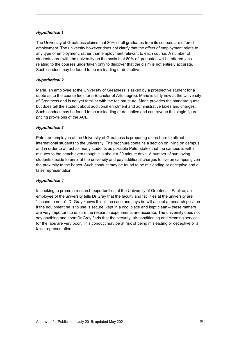## *Hypothetical 1*

The University of Greatness claims that 80% of all graduates from its courses are offered employment. The university however does not clarify that the offers of employment relate to any type of employment, rather than employment relevant to each course. A number of students enrol with the university on the basis that 80% of graduates will be offered jobs relating to the courses undertaken only to discover that the claim is not entirely accurate. Such conduct may be found to be misleading or deceptive.

## *Hypothetical 2*

Marie, an employee at the University of Greatness is asked by a prospective student for a quote as to the course fees for a Bachelor of Arts degree. Marie is fairly new at the University of Greatness and is not yet familiar with the fee structure. Marie provides the standard quote but does tell the student about additional enrolment and administrative taxes and charges. Such conduct may be found to be misleading or deceptive and contravene the single figure pricing provisions of the ACL.

## *Hypothetical 3*

Peter, an employee at the University of Greatness is preparing a brochure to attract international students to the university. The brochure contains a section on living on campus and in order to attract as many students as possible Peter states that the campus is within minutes to the beach even though it is about a 20 minute drive. A number of sun-loving students decide to enrol at the university and pay additional charges to live on campus given the proximity to the beach. Such conduct may be found to be misleading or deceptive and a false representation.

## *Hypothetical 4*

In seeking to promote research opportunities at the University of Greatness, Pauline, an employee of the university tells Dr Gray that the faculty and facilities at the university are "second to none". Dr Gray knows this is the case and says he will accept a research position if the equipment he is to use is secure, kept in a cool place and kept clean – these matters are very important to ensure the research experiments are accurate. The university does not say anything and soon Dr Gray finds that the security, air-conditioning and cleaning services for the labs are very poor. This conduct may be at risk of being misleading or deceptive or a false representation.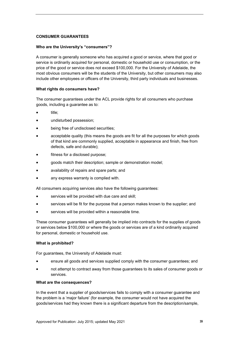## <span id="page-38-0"></span>**CONSUMER GUARANTEES**

## **Who are the University's "consumers"?**

A consumer is generally someone who has acquired a good or service, where that good or service is ordinarily acquired for personal, domestic or household use or consumption, or the price of the good or service does not exceed \$100,000. For the University of Adelaide, the most obvious consumers will be the students of the University, but other consumers may also include other employees or officers of the University, third party individuals and businesses.

## **What rights do consumers have?**

The consumer guarantees under the ACL provide rights for all consumers who purchase goods, including a guarantee as to:

- title;
- undisturbed possession;
- being free of undisclosed securities;
- acceptable quality (this means the goods are fit for all the purposes for which goods of that kind are commonly supplied, acceptable in appearance and finish, free from defects, safe and durable);
- fitness for a disclosed purpose;
- goods match their description; sample or demonstration model;
- availability of repairs and spare parts; and
- any express warranty is complied with.

All consumers acquiring services also have the following guarantees:

- services will be provided with due care and skill;
- services will be fit for the purpose that a person makes known to the supplier; and
- services will be provided within a reasonable time.

These consumer guarantees will generally be implied into contracts for the supplies of goods or services below \$100,000 or where the goods or services are of a kind ordinarily acquired for personal, domestic or household use.

#### **What is prohibited?**

For guarantees, the University of Adelaide must:

- ensure all goods and services supplied comply with the consumer guarantees; and
- not attempt to contract away from those guarantees to its sales of consumer goods or services.

#### **What are the consequences?**

In the event that a supplier of goods/services fails to comply with a consumer guarantee and the problem is a 'major failure' (for example, the consumer would not have acquired the goods/services had they known there is a significant departure from the description/sample,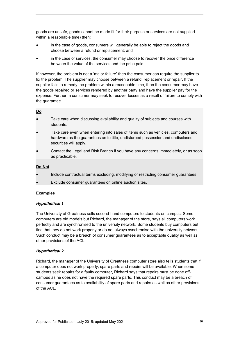goods are unsafe, goods cannot be made fit for their purpose or services are not supplied within a reasonable time) then:

- in the case of goods, consumers will generally be able to reject the goods and choose between a refund or replacement; and
- in the case of services, the consumer may choose to recover the price difference between the value of the services and the price paid.

If however, the problem is not a 'major failure' then the consumer can require the supplier to fix the problem. The supplier may choose between a refund, replacement or repair. If the supplier fails to remedy the problem within a reasonable time, then the consumer may have the goods repaired or services rendered by another party and have the supplier pay for the expense. Further, a consumer may seek to recover losses as a result of failure to comply with the guarantee.

## **Do**

- Take care when discussing availability and quality of subjects and courses with students.
- Take care even when entering into sales of items such as vehicles, computers and hardware as the guarantees as to title, undisturbed possession and undisclosed securities will apply.
- Contact the Legal and Risk Branch if you have any concerns immediately, or as soon as practicable.

#### **Do Not**

- Include contractual terms excluding, modifying or restricting consumer guarantees.
- Exclude consumer guarantees on online auction sites.

#### **Examples**

## *Hypothetical 1*

The University of Greatness sells second-hand computers to students on campus. Some computers are old models but Richard, the manager of the store, says all computers work perfectly and are synchronised to the university network. Some students buy computers but find that they do not work properly or do not always synchronise with the university network. Such conduct may be a breach of consumer guarantees as to acceptable quality as well as other provisions of the ACL.

## *Hypothetical 2*

Richard, the manager of the University of Greatness computer store also tells students that if a computer does not work properly, spare parts and repairs will be available. When some students seek repairs for a faulty computer, Richard says that repairs must be done offcampus as he does not have the required spare parts. This conduct may be a breach of consumer guarantees as to availability of spare parts and repairs as well as other provisions of the ACL.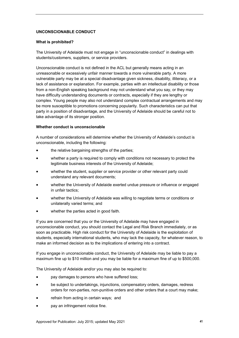## <span id="page-40-0"></span>**UNCONSCIONABLE CONDUCT**

## **What is prohibited?**

The University of Adelaide must not engage in "unconscionable conduct" in dealings with students/customers, suppliers, or service providers.

Unconscionable conduct is not defined in the ACL but generally means acting in an unreasonable or excessively unfair manner towards a more vulnerable party. A more vulnerable party may be at a special disadvantage given sickness, disability, illiteracy, or a lack of assistance or explanation. For example, parties with an intellectual disability or those from a non-English speaking background may not understand what you say, or they may have difficulty understanding documents or contracts, especially if they are lengthy or complex. Young people may also not understand complex contractual arrangements and may be more susceptible to promotions concerning popularity. Such characteristics can put that party in a position of disadvantage, and the University of Adelaide should be careful not to take advantage of its stronger position.

## **Whether conduct is unconscionable**

A number of considerations will determine whether the University of Adelaide's conduct is unconscionable, including the following:

- the relative bargaining strengths of the parties;
- whether a party is required to comply with conditions not necessary to protect the legitimate business interests of the University of Adelaide;
- whether the student, supplier or service provider or other relevant party could understand any relevant documents;
- whether the University of Adelaide exerted undue pressure or influence or engaged in unfair tactics;
- whether the University of Adelaide was willing to negotiate terms or conditions or unilaterally varied terms; and
- whether the parties acted in good faith.

If you are concerned that you or the University of Adelaide may have engaged in unconscionable conduct, you should contact the Legal and Risk Branch immediately, or as soon as practicable. High risk conduct for the University of Adelaide is the exploitation of students, especially international students, who may lack the capacity, for whatever reason, to make an informed decision as to the implications of entering into a contract.

If you engage in unconscionable conduct, the University of Adelaide may be liable to pay a maximum fine up to \$10 million and you may be liable for a maximum fine of up to \$500,000.

The University of Adelaide and/or you may also be required to:

- pay damages to persons who have suffered loss;
- be subject to undertakings, injunctions, compensatory orders, damages, redress orders for non-parties, non-punitive orders and other orders that a court may make;
- refrain from acting in certain ways; and
- pay an infringement notice fine.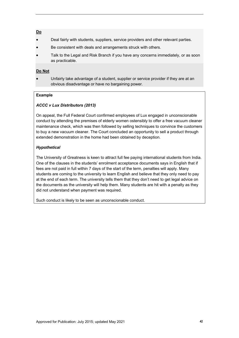## **Do**

- Deal fairly with students, suppliers, service providers and other relevant parties.
- Be consistent with deals and arrangements struck with others.
- Talk to the Legal and Risk Branch if you have any concerns immediately, or as soon as practicable.

## **Do Not**

 Unfairly take advantage of a student, supplier or service provider if they are at an obvious disadvantage or have no bargaining power.

## **Example**

## *ACCC v Lux Distributors (2013)*

On appeal, the Full Federal Court confirmed employees of Lux engaged in unconscionable conduct by attending the premises of elderly women ostensibly to offer a free vacuum cleaner maintenance check, which was then followed by selling techniques to convince the customers to buy a new vacuum cleaner. The Court concluded an opportunity to sell a product through extended demonstration in the home had been obtained by deception.

## *Hypothetical*

The University of Greatness is keen to attract full fee paying international students from India. One of the clauses in the students' enrolment acceptance documents says in English that if fees are not paid in full within 7 days of the start of the term, penalties will apply. Many students are coming to the university to learn English and believe that they only need to pay at the end of each term. The university tells them that they don't need to get legal advice on the documents as the university will help them. Many students are hit with a penalty as they did not understand when payment was required.

Such conduct is likely to be seen as unconscionable conduct.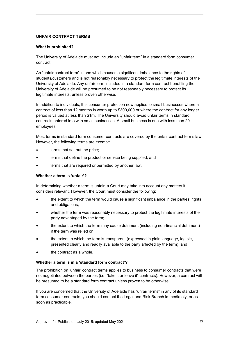## <span id="page-42-0"></span>**UNFAIR CONTRACT TERMS**

#### **What is prohibited?**

The University of Adelaide must not include an "unfair term" in a standard form consumer contract.

An "unfair contract term" is one which causes a significant imbalance to the rights of students/customers and is not reasonably necessary to protect the legitimate interests of the University of Adelaide. Any unfair term included in a standard form contract benefiting the University of Adelaide will be presumed to be not reasonably necessary to protect its legitimate interests, unless proven otherwise.

In addition to individuals, this consumer protection now applies to small businesses where a contract of less than 12 months is worth up to \$300,000 or where the contract for any longer period is valued at less than \$1m. The University should avoid unfair terms in standard contracts entered into with small businesses. A small business is one with less than 20 employees.

Most terms in standard form consumer contracts are covered by the unfair contract terms law. However, the following terms are exempt:

- terms that set out the price;
- terms that define the product or service being supplied; and
- terms that are required or permitted by another law.

#### **Whether a term is 'unfair'?**

In determining whether a term is unfair, a Court may take into account any matters it considers relevant. However, the Court must consider the following:

- the extent to which the term would cause a significant imbalance in the parties' rights and obligations;
- whether the term was reasonably necessary to protect the legitimate interests of the party advantaged by the term;
- the extent to which the term may cause detriment (including non-financial detriment) if the term was relied on;
- the extent to which the term is transparent (expressed in plain language, legible, presented clearly and readily available to the party affected by the term); and
- the contract as a whole.

#### **Whether a term is in a 'standard form contract'?**

The prohibition on 'unfair' contract terms applies to business to consumer contracts that were not negotiated between the parties (i.e. "take it or leave it" contracts). However, a contract will be presumed to be a standard form contract unless proven to be otherwise.

If you are concerned that the University of Adelaide has "unfair terms" in any of its standard form consumer contracts, you should contact the Legal and Risk Branch immediately, or as soon as practicable.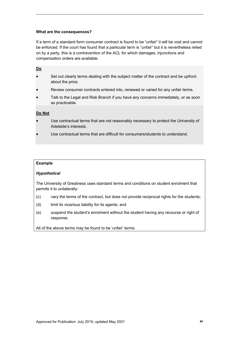#### **What are the consequences?**

If a term of a standard form consumer contract is found to be "unfair" it will be void and cannot be enforced. If the court has found that a particular term is "unfair" but it is nevertheless relied on by a party, this is a contravention of the ACL for which damages, injunctions and compensation orders are available.

## **Do**

- Set out clearly terms dealing with the subject matter of the contract and be upfront about the price.
- Review consumer contracts entered into, renewed or varied for any unfair terms.
- Talk to the Legal and Risk Branch if you have any concerns immediately, or as soon as practicable.

## **Do Not**

- Use contractual terms that are not reasonably necessary to protect the University of Adelaide's interests.
- Use contractual terms that are difficult for consumers/students to understand.

#### **Example**

## *Hypothetical*

The University of Greatness uses standard terms and conditions on student enrolment that permits it to unilaterally:

- (c) vary the terms of the contract, but does not provide reciprocal rights for the students;
- (d) limit its vicarious liability for its agents; and
- (e) suspend the student's enrolment without the student having any recourse or right of response.

All of the above terms may be found to be 'unfair' terms.